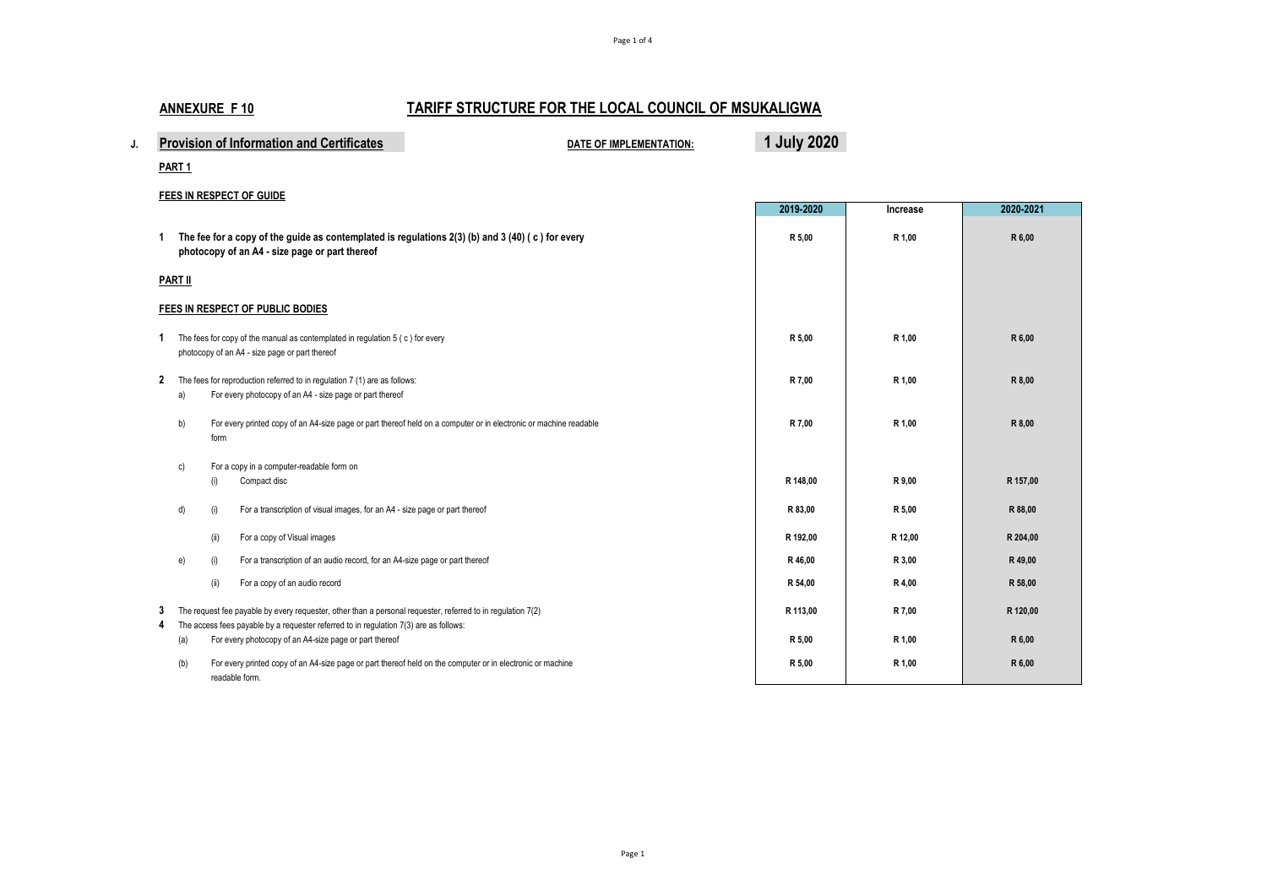# **ANNEXURE F 10 TARIFF STRUCTURE FOR THE LOCAL COUNCIL OF MSUKALIGWA**

| <b>Provision of Information and Certificates</b> | <b>DATE OF IMPLEMENTATION:</b> | <b>2020</b> |
|--------------------------------------------------|--------------------------------|-------------|
|                                                  |                                |             |

**PART 1**

#### **FEES IN RESPECT OF GUIDE**

|              |                                                                                                                                                       |                                                                                                                                                                                                      | 2019-2020 | Increase | 2020-2021 |
|--------------|-------------------------------------------------------------------------------------------------------------------------------------------------------|------------------------------------------------------------------------------------------------------------------------------------------------------------------------------------------------------|-----------|----------|-----------|
| 1            | The fee for a copy of the guide as contemplated is regulations $2(3)$ (b) and $3(40)$ (c) for every<br>photocopy of an A4 - size page or part thereof |                                                                                                                                                                                                      | R 5,00    | R 1,00   | R 6,00    |
|              | <b>PART II</b>                                                                                                                                        |                                                                                                                                                                                                      |           |          |           |
|              |                                                                                                                                                       | FEES IN RESPECT OF PUBLIC BODIES                                                                                                                                                                     |           |          |           |
| 1.           | The fees for copy of the manual as contemplated in regulation 5 (c) for every<br>photocopy of an A4 - size page or part thereof                       |                                                                                                                                                                                                      |           | R 1,00   | R 6,00    |
| $\mathbf{2}$ | a)                                                                                                                                                    | The fees for reproduction referred to in regulation 7 (1) are as follows:<br>For every photocopy of an A4 - size page or part thereof                                                                | R 7,00    | R 1,00   | R 8,00    |
|              | b)                                                                                                                                                    | For every printed copy of an A4-size page or part thereof held on a computer or in electronic or machine readable<br>form                                                                            | R 7.00    | R 1,00   | R 8,00    |
|              | c)                                                                                                                                                    | For a copy in a computer-readable form on<br>Compact disc<br>(i)                                                                                                                                     | R 148.00  | R 9,00   | R 157,00  |
|              | d)                                                                                                                                                    | For a transcription of visual images, for an A4 - size page or part thereof<br>(i)                                                                                                                   | R 83,00   | R 5,00   | R 88,00   |
|              |                                                                                                                                                       | For a copy of Visual images<br>(ii)                                                                                                                                                                  | R 192,00  | R 12,00  | R 204,00  |
|              | e)                                                                                                                                                    | (i)<br>For a transcription of an audio record, for an A4-size page or part thereof                                                                                                                   | R 46.00   | R 3,00   | R 49,00   |
|              |                                                                                                                                                       | For a copy of an audio record<br>(ii)                                                                                                                                                                | R 54,00   | R 4,00   | R 58,00   |
| 3<br>4       |                                                                                                                                                       | The request fee payable by every requester, other than a personal requester, referred to in regulation 7(2)<br>The access fees payable by a requester referred to in regulation 7(3) are as follows: | R 113.00  | R 7,00   | R 120,00  |
|              | (a)                                                                                                                                                   | For every photocopy of an A4-size page or part thereof                                                                                                                                               | R 5,00    | R 1,00   | R 6,00    |
|              | (b)                                                                                                                                                   | For every printed copy of an A4-size page or part thereof held on the computer or in electronic or machine<br>readable form.                                                                         | R 5,00    | R 1,00   | R 6,00    |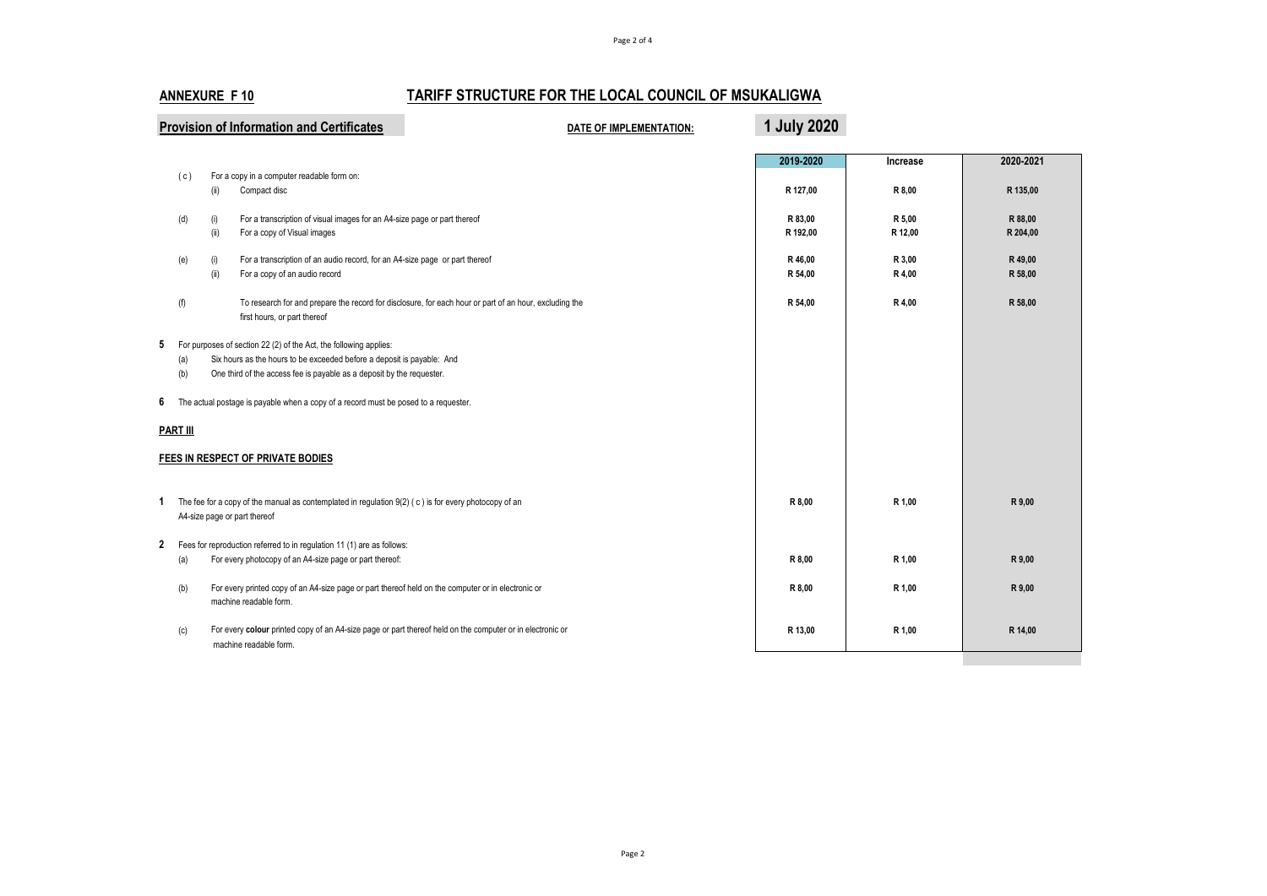### **ANNEXURE F 10 TARIFF STRUCTURE FOR THE LOCAL COUNCIL OF MSUKALIGWA**

| <b>Provision of Information and Certificates</b>                                                                                                                                                                                     |                                                                                                                                        |                                                                                                                                     | DATE OF IMPLEMENTATION:                                                                                | 1 July 2020         |                   |                     |
|--------------------------------------------------------------------------------------------------------------------------------------------------------------------------------------------------------------------------------------|----------------------------------------------------------------------------------------------------------------------------------------|-------------------------------------------------------------------------------------------------------------------------------------|--------------------------------------------------------------------------------------------------------|---------------------|-------------------|---------------------|
|                                                                                                                                                                                                                                      | (c)                                                                                                                                    | For a copy in a computer readable form on:                                                                                          |                                                                                                        | 2019-2020           | Increase          | 2020-2021           |
|                                                                                                                                                                                                                                      |                                                                                                                                        | Compact disc<br>(ii)                                                                                                                |                                                                                                        | R 127,00            | R 8,00            | R 135,00            |
|                                                                                                                                                                                                                                      | (d)                                                                                                                                    | For a transcription of visual images for an A4-size page or part thereof<br>(i)<br>(ii)<br>For a copy of Visual images              |                                                                                                        | R 83,00<br>R 192,00 | R 5,00<br>R 12,00 | R 88,00<br>R 204,00 |
|                                                                                                                                                                                                                                      | (e)                                                                                                                                    | For a transcription of an audio record, for an A4-size page or part thereof<br>(i)<br>(ii)<br>For a copy of an audio record         |                                                                                                        | R 46,00<br>R 54,00  | R 3,00<br>R 4,00  | R 49,00<br>R 58,00  |
|                                                                                                                                                                                                                                      | (f)                                                                                                                                    | first hours, or part thereof                                                                                                        | To research for and prepare the record for disclosure, for each hour or part of an hour, excluding the | R 54,00             | R 4,00            | R 58,00             |
| 5 For purposes of section 22 (2) of the Act, the following applies:<br>Six hours as the hours to be exceeded before a deposit is payable: And<br>(a)<br>(b)<br>One third of the access fee is payable as a deposit by the requester. |                                                                                                                                        |                                                                                                                                     |                                                                                                        |                     |                   |                     |
| 6                                                                                                                                                                                                                                    | The actual postage is payable when a copy of a record must be posed to a requester.                                                    |                                                                                                                                     |                                                                                                        |                     |                   |                     |
|                                                                                                                                                                                                                                      | <b>PART III</b>                                                                                                                        |                                                                                                                                     |                                                                                                        |                     |                   |                     |
|                                                                                                                                                                                                                                      |                                                                                                                                        | FEES IN RESPECT OF PRIVATE BODIES                                                                                                   |                                                                                                        |                     |                   |                     |
| 1                                                                                                                                                                                                                                    | The fee for a copy of the manual as contemplated in regulation $9(2)$ (c) is for every photocopy of an<br>A4-size page or part thereof |                                                                                                                                     | R 8,00                                                                                                 | R 1,00              | R 9,00            |                     |
| 2                                                                                                                                                                                                                                    |                                                                                                                                        | Fees for reproduction referred to in regulation 11 (1) are as follows:                                                              |                                                                                                        |                     |                   |                     |
|                                                                                                                                                                                                                                      | (a)                                                                                                                                    | For every photocopy of an A4-size page or part thereof:                                                                             |                                                                                                        | R 8,00              | R 1,00            | R 9,00              |
|                                                                                                                                                                                                                                      | (b)                                                                                                                                    | For every printed copy of an A4-size page or part thereof held on the computer or in electronic or<br>machine readable form.        |                                                                                                        | R 8,00              | R 1,00            | R 9,00              |
|                                                                                                                                                                                                                                      | (c)                                                                                                                                    | For every colour printed copy of an A4-size page or part thereof held on the computer or in electronic or<br>machine readable form. |                                                                                                        | R 13,00             | R 1,00            | R 14,00             |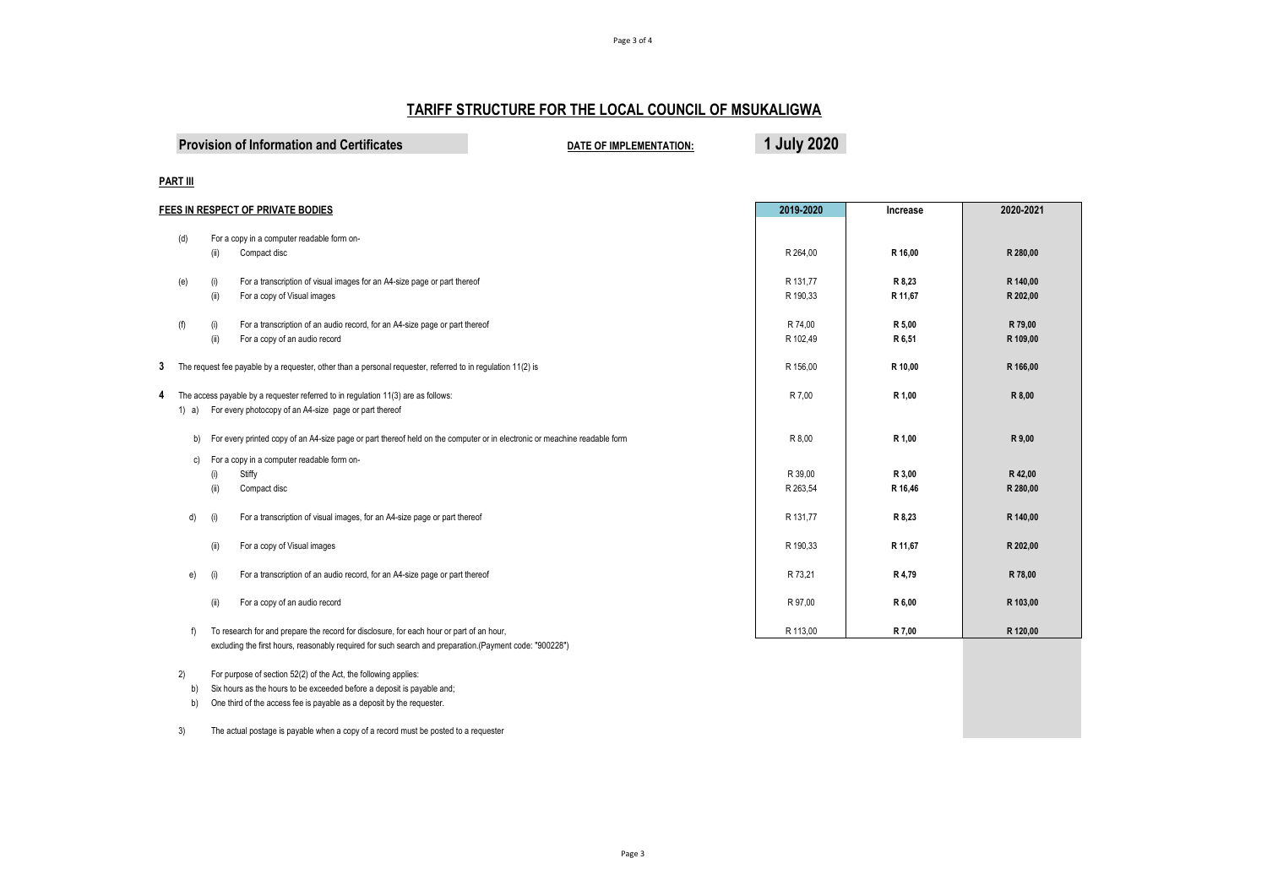# **TARIFF STRUCTURE FOR THE LOCAL COUNCIL OF MSUKALIGWA**

Page 3 of 4

| <b>Provision of Information and Certificates</b> | DATE OF IMPLEMENTATION: | 1 July 2020 |
|--------------------------------------------------|-------------------------|-------------|
|--------------------------------------------------|-------------------------|-------------|

#### **PART III**

| FEES IN RESPECT OF PRIVATE BODIES                                                                        |                                                                             | 2019-2020                                                                                                                                                                                                                                                                                                                                                                                                                                                                                                                                                                                                                                                                                                                                                       | Increase                                                                                            | 2020-2021                                                                                            |
|----------------------------------------------------------------------------------------------------------|-----------------------------------------------------------------------------|-----------------------------------------------------------------------------------------------------------------------------------------------------------------------------------------------------------------------------------------------------------------------------------------------------------------------------------------------------------------------------------------------------------------------------------------------------------------------------------------------------------------------------------------------------------------------------------------------------------------------------------------------------------------------------------------------------------------------------------------------------------------|-----------------------------------------------------------------------------------------------------|------------------------------------------------------------------------------------------------------|
|                                                                                                          |                                                                             |                                                                                                                                                                                                                                                                                                                                                                                                                                                                                                                                                                                                                                                                                                                                                                 |                                                                                                     |                                                                                                      |
|                                                                                                          |                                                                             |                                                                                                                                                                                                                                                                                                                                                                                                                                                                                                                                                                                                                                                                                                                                                                 |                                                                                                     |                                                                                                      |
|                                                                                                          |                                                                             |                                                                                                                                                                                                                                                                                                                                                                                                                                                                                                                                                                                                                                                                                                                                                                 |                                                                                                     | R 280,00                                                                                             |
|                                                                                                          |                                                                             |                                                                                                                                                                                                                                                                                                                                                                                                                                                                                                                                                                                                                                                                                                                                                                 |                                                                                                     | R 140,00                                                                                             |
|                                                                                                          |                                                                             |                                                                                                                                                                                                                                                                                                                                                                                                                                                                                                                                                                                                                                                                                                                                                                 |                                                                                                     | R 202,00                                                                                             |
|                                                                                                          |                                                                             |                                                                                                                                                                                                                                                                                                                                                                                                                                                                                                                                                                                                                                                                                                                                                                 |                                                                                                     |                                                                                                      |
| (i)                                                                                                      | For a transcription of an audio record, for an A4-size page or part thereof | R 74,00                                                                                                                                                                                                                                                                                                                                                                                                                                                                                                                                                                                                                                                                                                                                                         | R 5,00                                                                                              | R 79,00                                                                                              |
| (ii)                                                                                                     | For a copy of an audio record                                               | R 102,49                                                                                                                                                                                                                                                                                                                                                                                                                                                                                                                                                                                                                                                                                                                                                        | R 6,51                                                                                              | R 109,00                                                                                             |
|                                                                                                          |                                                                             |                                                                                                                                                                                                                                                                                                                                                                                                                                                                                                                                                                                                                                                                                                                                                                 |                                                                                                     |                                                                                                      |
|                                                                                                          |                                                                             |                                                                                                                                                                                                                                                                                                                                                                                                                                                                                                                                                                                                                                                                                                                                                                 |                                                                                                     | R 166,00                                                                                             |
| The access payable by a requester referred to in regulation 11(3) are as follows:<br>1) a)               |                                                                             |                                                                                                                                                                                                                                                                                                                                                                                                                                                                                                                                                                                                                                                                                                                                                                 |                                                                                                     | R 8,00                                                                                               |
|                                                                                                          |                                                                             |                                                                                                                                                                                                                                                                                                                                                                                                                                                                                                                                                                                                                                                                                                                                                                 |                                                                                                     |                                                                                                      |
|                                                                                                          |                                                                             |                                                                                                                                                                                                                                                                                                                                                                                                                                                                                                                                                                                                                                                                                                                                                                 |                                                                                                     |                                                                                                      |
| b)                                                                                                       |                                                                             | R 8,00                                                                                                                                                                                                                                                                                                                                                                                                                                                                                                                                                                                                                                                                                                                                                          | R 1,00                                                                                              | R 9,00                                                                                               |
|                                                                                                          |                                                                             |                                                                                                                                                                                                                                                                                                                                                                                                                                                                                                                                                                                                                                                                                                                                                                 |                                                                                                     |                                                                                                      |
|                                                                                                          |                                                                             |                                                                                                                                                                                                                                                                                                                                                                                                                                                                                                                                                                                                                                                                                                                                                                 |                                                                                                     | R 42,00                                                                                              |
|                                                                                                          |                                                                             |                                                                                                                                                                                                                                                                                                                                                                                                                                                                                                                                                                                                                                                                                                                                                                 |                                                                                                     | R 280,00                                                                                             |
|                                                                                                          |                                                                             |                                                                                                                                                                                                                                                                                                                                                                                                                                                                                                                                                                                                                                                                                                                                                                 |                                                                                                     |                                                                                                      |
| (i)                                                                                                      | For a transcription of visual images, for an A4-size page or part thereof   | R 131,77                                                                                                                                                                                                                                                                                                                                                                                                                                                                                                                                                                                                                                                                                                                                                        | R 8,23                                                                                              | R 140,00                                                                                             |
|                                                                                                          |                                                                             |                                                                                                                                                                                                                                                                                                                                                                                                                                                                                                                                                                                                                                                                                                                                                                 |                                                                                                     |                                                                                                      |
| (ii)                                                                                                     | For a copy of Visual images                                                 | R 190,33                                                                                                                                                                                                                                                                                                                                                                                                                                                                                                                                                                                                                                                                                                                                                        | R 11.67                                                                                             | R 202,00                                                                                             |
|                                                                                                          |                                                                             |                                                                                                                                                                                                                                                                                                                                                                                                                                                                                                                                                                                                                                                                                                                                                                 |                                                                                                     |                                                                                                      |
|                                                                                                          |                                                                             |                                                                                                                                                                                                                                                                                                                                                                                                                                                                                                                                                                                                                                                                                                                                                                 |                                                                                                     | R 78,00                                                                                              |
|                                                                                                          |                                                                             |                                                                                                                                                                                                                                                                                                                                                                                                                                                                                                                                                                                                                                                                                                                                                                 |                                                                                                     |                                                                                                      |
|                                                                                                          |                                                                             |                                                                                                                                                                                                                                                                                                                                                                                                                                                                                                                                                                                                                                                                                                                                                                 |                                                                                                     | R 103,00                                                                                             |
|                                                                                                          |                                                                             | R 113.00                                                                                                                                                                                                                                                                                                                                                                                                                                                                                                                                                                                                                                                                                                                                                        |                                                                                                     | R 120,00                                                                                             |
| excluding the first hours, reasonably required for such search and preparation. (Payment code: "900228") |                                                                             |                                                                                                                                                                                                                                                                                                                                                                                                                                                                                                                                                                                                                                                                                                                                                                 |                                                                                                     |                                                                                                      |
|                                                                                                          | (ii)<br>(i)<br>(ii)<br>C)<br>(i)<br>(ii)<br>d)<br>e)<br>(ii)<br>f)          | For a copy in a computer readable form on-<br>Compact disc<br>For a transcription of visual images for an A4-size page or part thereof<br>For a copy of Visual images<br>The request fee payable by a requester, other than a personal requester, referred to in regulation 11(2) is<br>For every photocopy of an A4-size page or part thereof<br>For every printed copy of an A4-size page or part thereof held on the computer or in electronic or meachine readable form<br>For a copy in a computer readable form on-<br>Stiffy<br>Compact disc<br>For a transcription of an audio record, for an A4-size page or part thereof<br>For a copy of an audio record<br>To research for and prepare the record for disclosure, for each hour or part of an hour, | R 264,00<br>R 131,77<br>R 190,33<br>R 156.00<br>R 7.00<br>R 39,00<br>R 263,54<br>R 73,21<br>R 97,00 | R 16,00<br>R 8,23<br>R 11,67<br>R 10,00<br>R 1,00<br>R 3,00<br>R 16,46<br>R 4,79<br>R 6,00<br>R 7,00 |

2) For purpose of section 52(2) of the Act, the following applies:

b) Six hours as the hours to be exceeded before a deposit is payable and;

b) One third of the access fee is payable as a deposit by the requester.

3) The actual postage is payable when a copy of a record must be posted to a requester